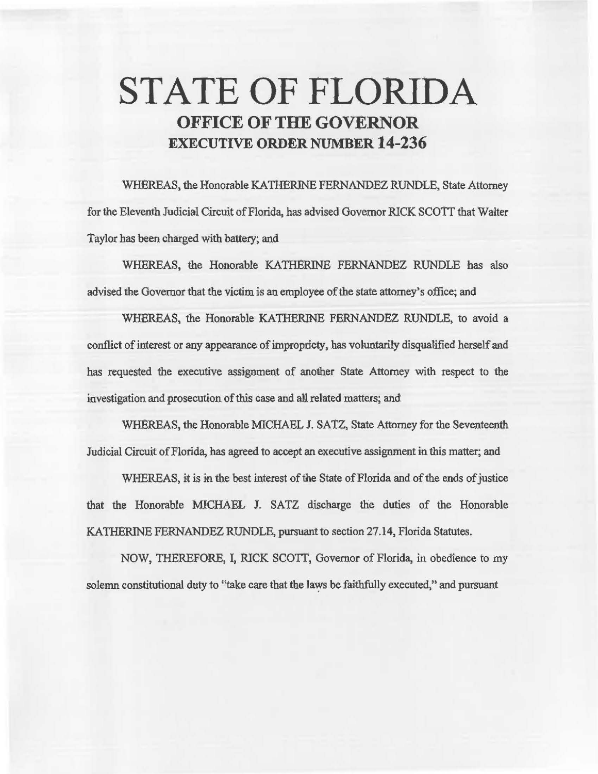# **STATE OF FLORIDA OFFICE OF THE GOVERNOR EXECUTIVE ORDER NUMBER 14-236**

WHEREAS, the Honorable KATHERINE FERNANDEZ RUNDLE, State Attorney for the Eleventh Judicial Circuit of Florida, has advised Governor RICK SCOTT that Waiter Taylor has been charged with battery; and

WHEREAS, the Honorable KATHERINE FERNANDEZ RUNDLE has also advised the Governor that the victim is an employee of the state attorney's office; and

WHEREAS, the Honorable KATHERINE FERNANDEZ RUNDLE, to avoid a conflict of interest or any appearance of impropriety, has voluntarily disqualified herself and has requested the executive assignment of another State Attorney with respect to the investigation and prosecution of this case and all related matters; and

WHEREAS, the Honorable MICHAEL J. SATZ, State Attorney for the Seventeenth Judicial Circuit of Florida, has agreed to accept an executive assignment in this matter; and

WHEREAS, it is in the best interest of the State of Florida and of the ends of justice that the Honorable MICHAEL J. SATZ discharge the duties of the Honorable KATHERINE FERNANDEZ RUNDLE, pursuant to section 27.14, Florida Statutes.

NOW, THEREFORE, I, RICK SCOTT, Governor of Florida, in obedience to my solemn constitutional duty to "take care that the laws be faithfully executed," and pursuant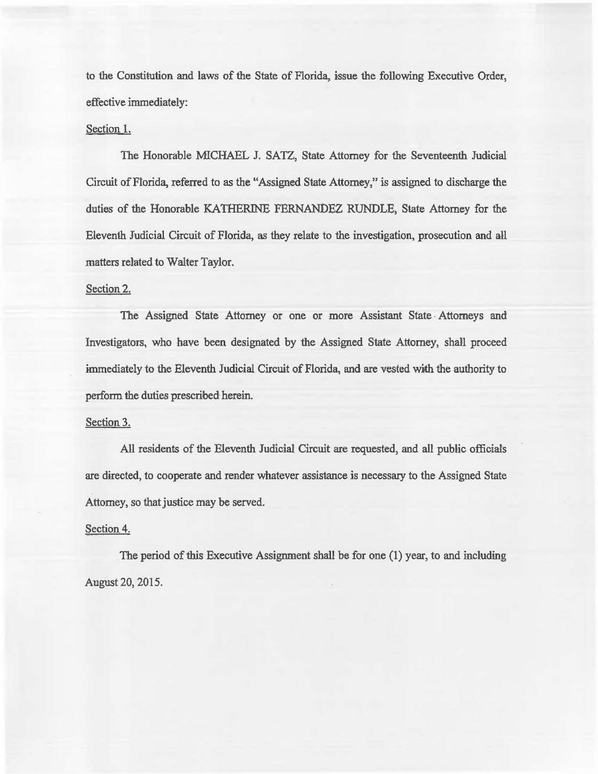to the Constitution and laws of the State of Florida, issue the following Executive Order, effective immediately:

### Section l.

The Honorable MICHAEL J. SATZ, State Attorney for the Seventeenth Judicial Circuit of Florida, referred to *as* the "Assigned State Attorney," is assigned to discharge the duties of the Honorable KATHERINE FERNANDEZ RUNDLE, State Attorney for the Eleventh Judicial Circuit of Florida, *as* they relate to the investigation, prosecution and all matters related to Walter Taylor.

#### Section 2.

The Assigned State Attorney or one or more Assistant State · Attorneys and Investigators, who have been designated by the Assigned State Attorney, sha11 proceed immediately to the Eleventh Judicial Circuit of Florida, and are vested with the authority to perform the duties prescribed herein.

## Section 3.

All residents of the Eleventh Judicial Circuit are requested, and all public officials are directed, to cooperate and render whatever assistance is necessary to the Assigned State Attorney, so that justice may be served.

### Section 4.

The period of this Executive Assignment shall be for one (1) year, to and including August 20, 2015.